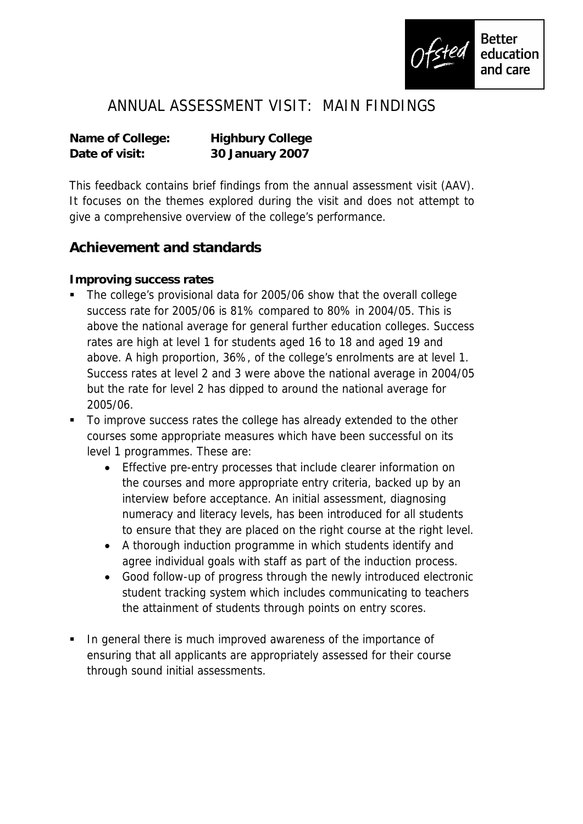

# ANNUAL ASSESSMENT VISIT: MAIN FINDINGS

**Name of College: Highbury College Date of visit: 30 January 2007**

This feedback contains brief findings from the annual assessment visit (AAV). It focuses on the themes explored during the visit and does not attempt to give a comprehensive overview of the college's performance.

#### **Achievement and standards**

**Improving success rates**

- The college's provisional data for 2005/06 show that the overall college success rate for 2005/06 is 81% compared to 80% in 2004/05. This is above the national average for general further education colleges. Success rates are high at level 1 for students aged 16 to 18 and aged 19 and above. A high proportion, 36%, of the college's enrolments are at level 1. Success rates at level 2 and 3 were above the national average in 2004/05 but the rate for level 2 has dipped to around the national average for 2005/06.
- To improve success rates the college has already extended to the other courses some appropriate measures which have been successful on its level 1 programmes. These are:
	- Effective pre-entry processes that include clearer information on the courses and more appropriate entry criteria, backed up by an interview before acceptance. An initial assessment, diagnosing numeracy and literacy levels, has been introduced for all students to ensure that they are placed on the right course at the right level.
	- A thorough induction programme in which students identify and agree individual goals with staff as part of the induction process.
	- Good follow-up of progress through the newly introduced electronic student tracking system which includes communicating to teachers the attainment of students through points on entry scores.
- In general there is much improved awareness of the importance of ensuring that all applicants are appropriately assessed for their course through sound initial assessments.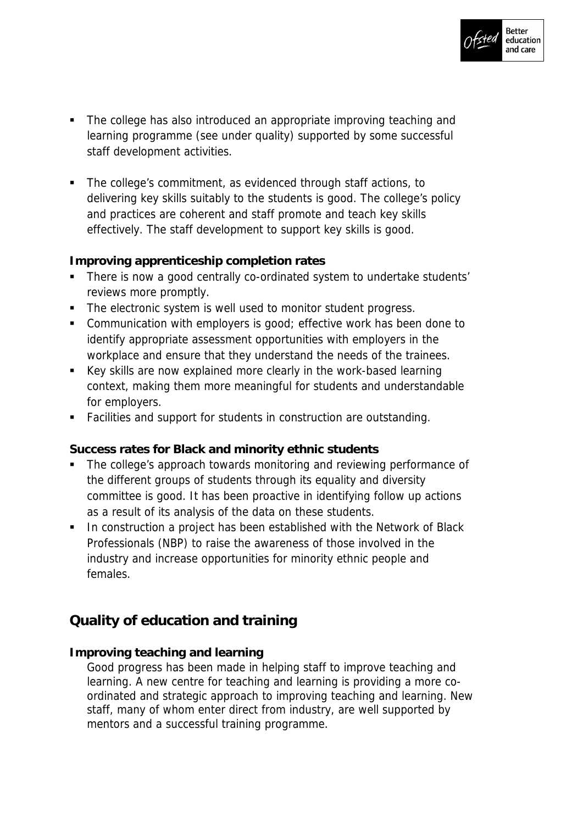

- The college has also introduced an appropriate improving teaching and learning programme (see under quality) supported by some successful staff development activities.
- The college's commitment, as evidenced through staff actions, to delivering key skills suitably to the students is good. The college's policy and practices are coherent and staff promote and teach key skills effectively. The staff development to support key skills is good.

**Improving apprenticeship completion rates**

- There is now a good centrally co-ordinated system to undertake students' reviews more promptly.
- The electronic system is well used to monitor student progress.
- **Communication with employers is good; effective work has been done to** identify appropriate assessment opportunities with employers in the workplace and ensure that they understand the needs of the trainees.
- Key skills are now explained more clearly in the work-based learning context, making them more meaningful for students and understandable for employers.
- Facilities and support for students in construction are outstanding.

**Success rates for Black and minority ethnic students**

- The college's approach towards monitoring and reviewing performance of the different groups of students through its equality and diversity committee is good. It has been proactive in identifying follow up actions as a result of its analysis of the data on these students.
- **In construction a project has been established with the Network of Black** Professionals (NBP) to raise the awareness of those involved in the industry and increase opportunities for minority ethnic people and females.

## **Quality of education and training**

**Improving teaching and learning**

Good progress has been made in helping staff to improve teaching and learning. A new centre for teaching and learning is providing a more coordinated and strategic approach to improving teaching and learning. New staff, many of whom enter direct from industry, are well supported by mentors and a successful training programme.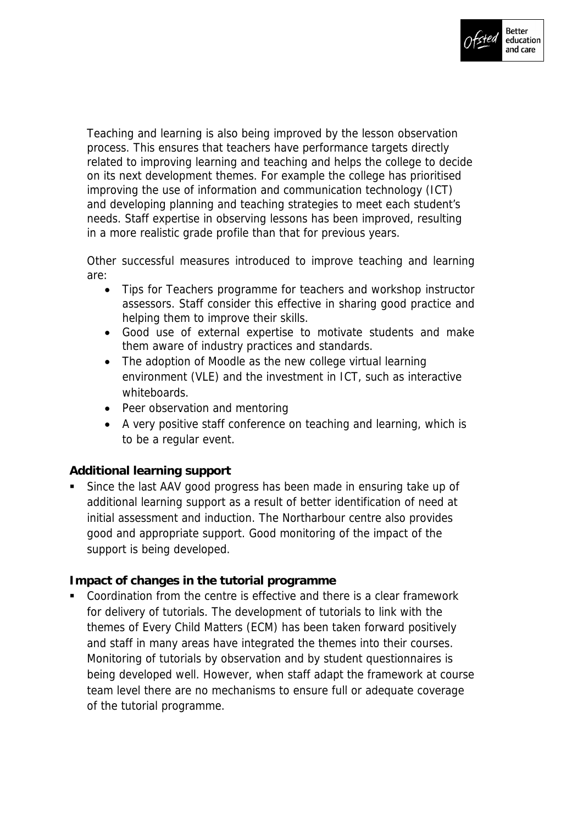

Teaching and learning is also being improved by the lesson observation process. This ensures that teachers have performance targets directly related to improving learning and teaching and helps the college to decide on its next development themes. For example the college has prioritised improving the use of information and communication technology (ICT) and developing planning and teaching strategies to meet each student's needs. Staff expertise in observing lessons has been improved, resulting in a more realistic grade profile than that for previous years.

Other successful measures introduced to improve teaching and learning are:

- Tips for Teachers programme for teachers and workshop instructor assessors. Staff consider this effective in sharing good practice and helping them to improve their skills.
- Good use of external expertise to motivate students and make them aware of industry practices and standards.
- The adoption of Moodle as the new college virtual learning environment (VLE) and the investment in ICT, such as interactive whiteboards.
- Peer observation and mentoring
- A very positive staff conference on teaching and learning, which is to be a regular event.

#### **Additional learning support**

 Since the last AAV good progress has been made in ensuring take up of additional learning support as a result of better identification of need at initial assessment and induction. The Northarbour centre also provides good and appropriate support. Good monitoring of the impact of the support is being developed.

**Impact of changes in the tutorial programme**

 Coordination from the centre is effective and there is a clear framework for delivery of tutorials. The development of tutorials to link with the themes of Every Child Matters (ECM) has been taken forward positively and staff in many areas have integrated the themes into their courses. Monitoring of tutorials by observation and by student questionnaires is being developed well. However, when staff adapt the framework at course team level there are no mechanisms to ensure full or adequate coverage of the tutorial programme.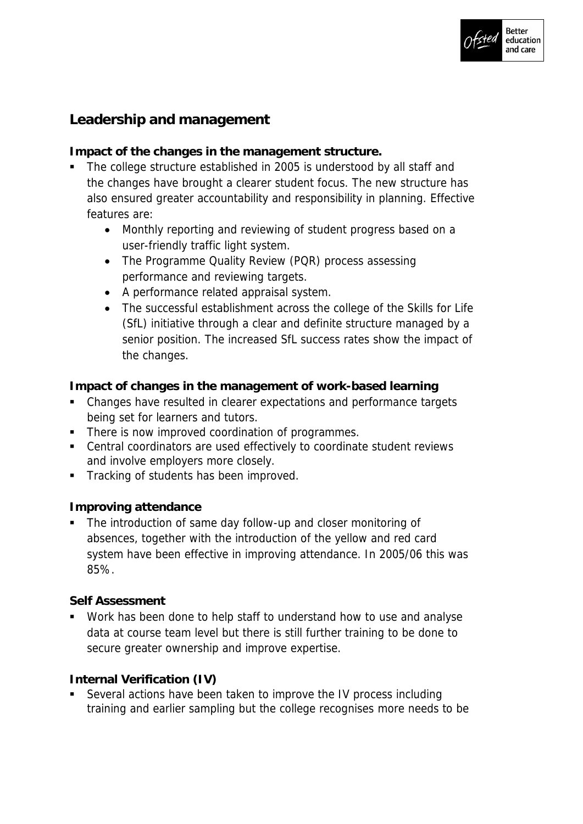

### **Leadership and management**

**Impact of the changes in the management structure.**

- The college structure established in 2005 is understood by all staff and the changes have brought a clearer student focus. The new structure has also ensured greater accountability and responsibility in planning. Effective features are:
	- Monthly reporting and reviewing of student progress based on a user-friendly traffic light system.
	- The Programme Quality Review (PQR) process assessing performance and reviewing targets.
	- A performance related appraisal system.
	- The successful establishment across the college of the Skills for Life (SfL) initiative through a clear and definite structure managed by a senior position. The increased SfL success rates show the impact of the changes.

**Impact of changes in the management of work-based learning**

- Changes have resulted in clearer expectations and performance targets being set for learners and tutors.
- **There is now improved coordination of programmes.**
- Central coordinators are used effectively to coordinate student reviews and involve employers more closely.
- **Tracking of students has been improved.**

**Improving attendance**

 The introduction of same day follow-up and closer monitoring of absences, together with the introduction of the yellow and red card system have been effective in improving attendance. In 2005/06 this was 85%.

**Self Assessment** 

 Work has been done to help staff to understand how to use and analyse data at course team level but there is still further training to be done to secure greater ownership and improve expertise.

**Internal Verification (IV)**

 Several actions have been taken to improve the IV process including training and earlier sampling but the college recognises more needs to be